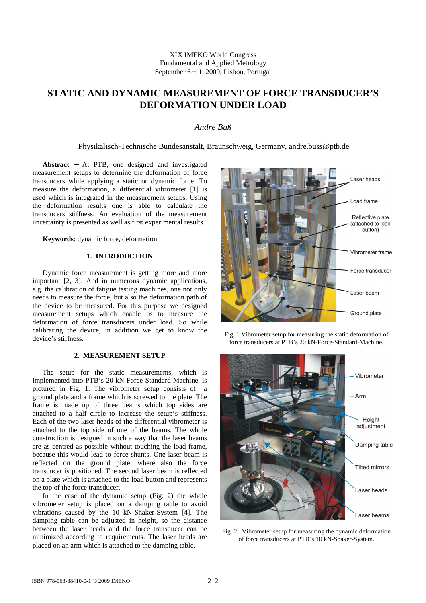XIX IMEKO World Congress Fundamental and Applied Metrology September 6−11, 2009, Lisbon, Portugal

# **STATIC AND DYNAMIC MEASUREMENT OF FORCE TRANSDUCER'S DEFORMATION UNDER LOAD**

# *Andre Buß*

Physikalisch-Technische Bundesanstalt, Braunschweig, Germany, andre.buss@ptb.de

**Abstract** − At PTB, one designed and investigated measurement setups to determine the deformation of force transducers while applying a static or dynamic force. To measure the deformation, a differential vibrometer [1] is used which is integrated in the measurement setups. Using the deformation results one is able to calculate the transducers stiffness. An evaluation of the measurement uncertainty is presented as well as first experimental results.

**Keywords**: dynamic force, deformation

# **1. INTRODUCTION**

Dynamic force measurement is getting more and more important [2, 3]. And in numerous dynamic applications, e.g. the calibration of fatigue testing machines, one not only needs to measure the force, but also the deformation path of the device to be measured. For this purpose we designed measurement setups which enable us to measure the deformation of force transducers under load. So while calibrating the device, in addition we get to know the device's stiffness.

## **2. MEASUREMENT SETUP**

The setup for the static measurements, which is implemented into PTB's 20 kN-Force-Standard-Machine, is pictured in Fig. 1. The vibrometer setup consists of a ground plate and a frame which is screwed to the plate. The frame is made up of three beams which top sides are attached to a half circle to increase the setup's stiffness. Each of the two laser heads of the differential vibrometer is attached to the top side of one of the beams. The whole construction is designed in such a way that the laser beams are as centred as possible without touching the load frame, because this would lead to force shunts. One laser beam is reflected on the ground plate, where also the force transducer is positioned. The second laser beam is reflected on a plate which is attached to the load button and represents the top of the force transducer.

In the case of the dynamic setup (Fig. 2) the whole vibrometer setup is placed on a damping table to avoid vibrations caused by the 10 kN-Shaker-System [4]. The damping table can be adjusted in height, so the distance between the laser heads and the force transducer can be minimized according to requirements. The laser heads are placed on an arm which is attached to the damping table,



Fig. 1 Vibrometer setup for measuring the static deformation of force transducers at PTB's 20 kN-Force-Standard-Machine.



Fig. 2. Vibrometer setup for measuring the dynamic deformation of force transducers at PTB's 10 kN-Shaker-System.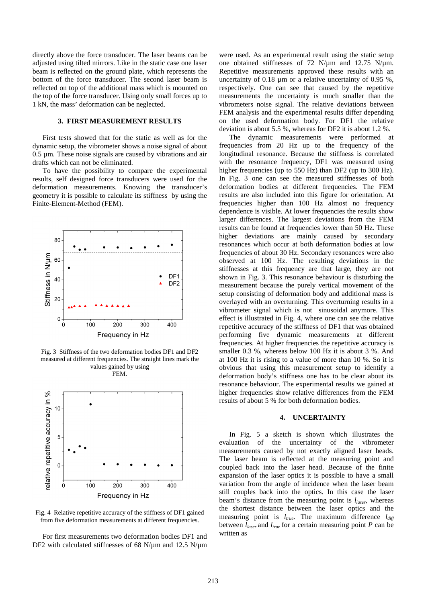directly above the force transducer. The laser beams can be adjusted using tilted mirrors. Like in the static case one laser beam is reflected on the ground plate, which represents the bottom of the force transducer. The second laser beam is reflected on top of the additional mass which is mounted on the top of the force transducer. Using only small forces up to 1 kN, the mass' deformation can be neglected.

## **3. FIRST MEASUREMENT RESULTS**

First tests showed that for the static as well as for the dynamic setup, the vibrometer shows a noise signal of about 0.5 µm. These noise signals are caused by vibrations and air drafts which can not be eliminated.

To have the possibility to compare the experimental results, self designed force transducers were used for the deformation measurements. Knowing the transducer's geometry it is possible to calculate its stiffness by using the Finite-Element-Method (FEM).



Fig. 3 Stiffness of the two deformation bodies DF1 and DF2 measured at different frequencies. The straight lines mark the values gained by using FEM.



Fig. 4 Relative repetitive accuracy of the stiffness of DF1 gained from five deformation measurements at different frequencies.

For first measurements two deformation bodies DF1 and DF2 with calculated stiffnesses of 68 N/ $\mu$ m and 12.5 N/ $\mu$ m were used. As an experimental result using the static setup one obtained stiffnesses of 72 N/ $\mu$ m and 12.75 N/ $\mu$ m. Repetitive measurements approved these results with an uncertainty of 0.18 µm or a relative uncertainty of 0.95 %, respectively. One can see that caused by the repetitive measurements the uncertainty is much smaller than the vibrometers noise signal. The relative deviations between FEM analysis and the experimental results differ depending on the used deformation body. For DF1 the relative deviation is about 5.5 %, whereas for DF2 it is about 1.2 %.

The dynamic measurements were performed at frequencies from 20 Hz up to the frequency of the longitudinal resonance. Because the stiffness is correlated with the resonance frequency, DF1 was measured using higher frequencies (up to 550 Hz) than DF2 (up to 300 Hz). In Fig. 3 one can see the measured stiffnesses of both deformation bodies at different frequencies. The FEM results are also included into this figure for orientation. At frequencies higher than 100 Hz almost no frequency dependence is visible. At lower frequencies the results show larger differences. The largest deviations from the FEM results can be found at frequencies lower than 50 Hz. These higher deviations are mainly caused by secondary resonances which occur at both deformation bodies at low frequencies of about 30 Hz. Secondary resonances were also observed at 100 Hz. The resulting deviations in the stiffnesses at this frequency are that large, they are not shown in Fig. 3. This resonance behaviour is disturbing the measurement because the purely vertical movement of the setup consisting of deformation body and additional mass is overlayed with an overturning. This overturning results in a vibrometer signal which is not sinusoidal anymore. This effect is illustrated in Fig. 4, where one can see the relative repetitive accuracy of the stiffness of DF1 that was obtained performing five dynamic measurements at different frequencies. At higher frequencies the repetitive accuracy is smaller 0.3 %, whereas below 100 Hz it is about 3 %. And at 100 Hz it is rising to a value of more than 10 %. So it is obvious that using this measurement setup to identify a deformation body's stiffness one has to be clear about its resonance behaviour. The experimental results we gained at higher frequencies show relative differences from the FEM results of about 5 % for both deformation bodies.

#### **4. UNCERTAINTY**

In Fig. 5 a sketch is shown which illustrates the evaluation of the uncertainty of the vibrometer measurements caused by not exactly aligned laser heads. The laser beam is reflected at the measuring point and coupled back into the laser head. Because of the finite expansion of the laser optics it is possible to have a small variation from the angle of incidence when the laser beam still couples back into the optics. In this case the laser beam's distance from the measuring point is *llaser*, whereas the shortest distance between the laser optics and the measuring point is *ltrue*. The maximum difference *ldiff* between *llaser* and *ltrue* for a certain measuring point *P* can be written as